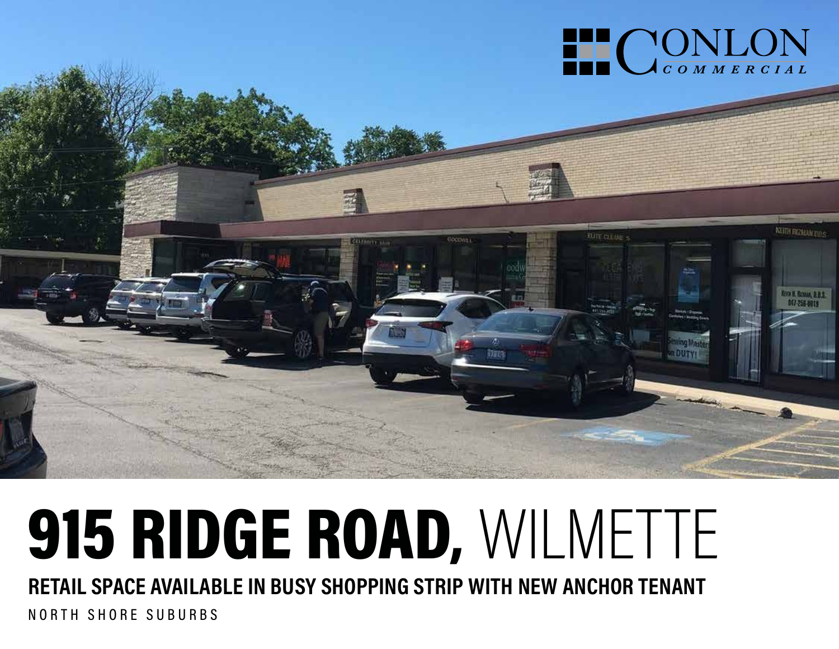

# 915 RIDGE ROAD, WILMETTE

**RETAIL SPACE AVAILABLE IN BUSY SHOPPING STRIP WITH NEW ANCHOR TENANT**

NORTH SHORE SUBURBS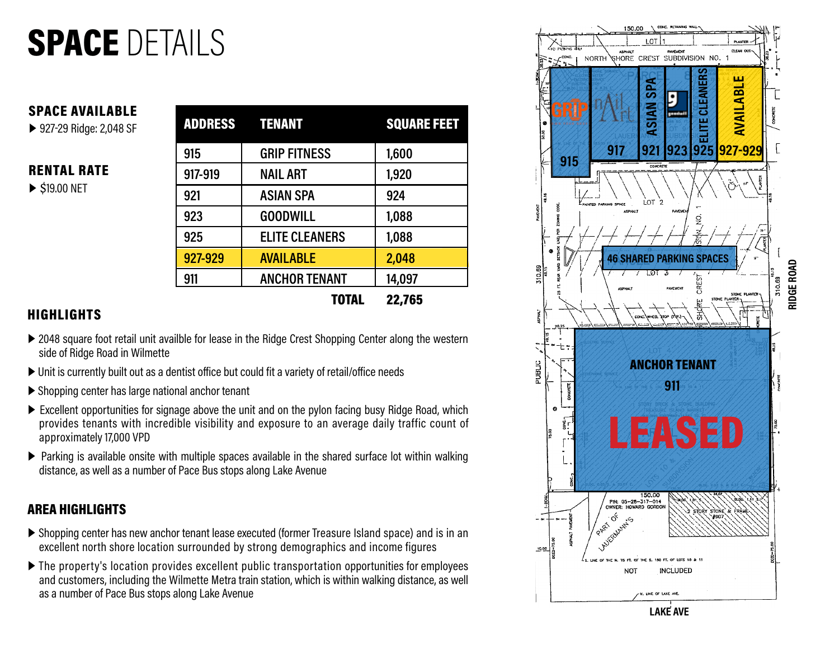### SPACE DETAILS

#### SPACE AVAILABLE

▶ 927-29 Ridge: 2,048 SF

#### RENTAL RATE

▶ \$19.00 NET

|         | <b>ADDRESS TENANT</b> | <b>SQUARE FEET</b> |
|---------|-----------------------|--------------------|
| 915     | <b>GRIP FITNESS</b>   | 1,600              |
| 917-919 | <b>NAIL ART</b>       | 1,920              |
| 921     | <b>ASIAN SPA</b>      | 924                |
| 923     | <b>GOODWILL</b>       | 1,088              |
| 925     | <b>ELITE CLEANERS</b> | 1,088              |
| 927-929 | <b>AVAILABLE</b>      | 2,048              |
| 911     | <b>ANCHOR TENANT</b>  | 14,097             |
|         | <b>TOTAL</b>          | 22,765             |

#### **HIGHLIGHTS**

- ▶ 2048 square foot retail unit availble for lease in the Ridge Crest Shopping Center along the western side of Ridge Road in Wilmette
- ▶ Unit is currently built out as a dentist office but could fit a variety of retail/office needs
- ▶ Shopping center has large national anchor tenant
- ▶ Excellent opportunities for signage above the unit and on the pylon facing busy Ridge Road, which provides tenants with incredible visibility and exposure to an average daily traffic count of approximately 17,000 VPD
- ▶ Parking is available onsite with multiple spaces available in the shared surface lot within walking distance, as well as a number of Pace Bus stops along Lake Avenue

#### AREA HIGHLIGHTS

- ▶ Shopping center has new anchor tenant lease executed (former Treasure Island space) and is in an excellent north shore location surrounded by strong demographics and income figures
- ▶ The property's location provides excellent public transportation opportunities for employees and customers, including the Wilmette Metra train station, which is within walking distance, as well as a number of Pace Bus stops along Lake Avenue